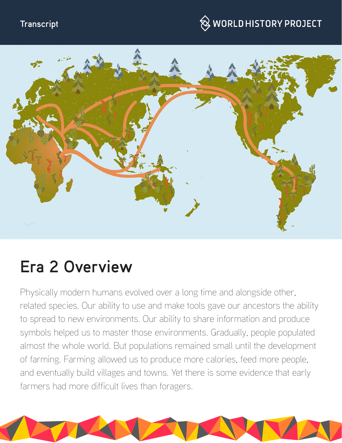#### **Transcript**

# $\hspace{0.1cm}\otimes\hspace{0.1cm}$  WORLD HISTORY PROJECT



# **Era 2 Overview**

Physically modern humans evolved over a long time and alongside other, related species. Our ability to use and make tools gave our ancestors the ability to spread to new environments. Our ability to share information and produce symbols helped us to master those environments. Gradually, people populated almost the whole world. But populations remained small until the development of farming. Farming allowed us to produce more calories, feed more people, and eventually build villages and towns. Yet there is some evidence that early farmers had more difficult lives than foragers.

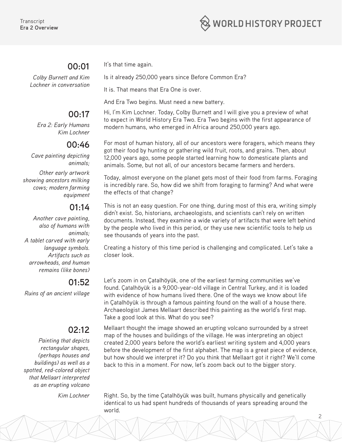#### **00:01**

*Colby Burnett and Kim Lochner in conversation*

### **00:17**

*Era 2: Early Humans Kim Lochner*

#### **00:46**

*Cave painting depicting animals;*

*Other early artwork showing ancestors milking cows; modern farming equipment*

#### **01:14**

*Another cave painting, also of humans with animals; A tablet carved with early language symbols. Artifacts such as arrowheads, and human remains (like bones)*

#### **01:52**

*Ruins of an ancient village*

#### **02:12**

*Painting that depicts rectangular shapes, (perhaps houses and buildings) as well as a spotted, red-colored object that Mellaart interpreted as an erupting volcano*

It's that time again.

Is it already 250,000 years since Before Common Era?

It is. That means that Era One is over.

And Era Two begins. Must need a new battery.

Hi, I'm Kim Lochner. Today, Colby Burnett and I will give you a preview of what to expect in World History Era Two. Era Two begins with the first appearance of modern humans, who emerged in Africa around 250,000 years ago.

For most of human history, all of our ancestors were foragers, which means they got their food by hunting or gathering wild fruit, roots, and grains. Then, about 12,000 years ago, some people started learning how to domesticate plants and animals. Some, but not all, of our ancestors became farmers and herders.

Today, almost everyone on the planet gets most of their food from farms. Foraging is incredibly rare. So, how did we shift from foraging to farming? And what were the effects of that change?

This is not an easy question. For one thing, during most of this era, writing simply didn't exist. So, historians, archaeologists, and scientists can't rely on written documents. Instead, they examine a wide variety of artifacts that were left behind by the people who lived in this period, or they use new scientific tools to help us see thousands of years into the past.

Creating a history of this time period is challenging and complicated. Let's take a closer look.

Let's zoom in on Çatalhöyük, one of the earliest farming communities we've found. Çatalhöyük is a 9,000-year-old village in Central Turkey, and it is loaded with evidence of how humans lived there. One of the ways we know about life in Çatalhöyük is through a famous painting found on the wall of a house there. Archaeologist James Mellaart described this painting as the world's first map. Take a good look at this. What do you see?

Mellaart thought the image showed an erupting volcano surrounded by a street map of the houses and buildings of the village. He was interpreting an object created 2,000 years before the world's earliest writing system and 4,000 years before the development of the first alphabet. The map is a great piece of evidence, but how should we interpret it? Do you think that Mellaart got it right? We'll come back to this in a moment. For now, let's zoom back out to the bigger story.

*Kim Lochner* Right. So, by the time Çatalhöyük was built, humans physically and genetically identical to us had spent hundreds of thousands of years spreading around the world.

2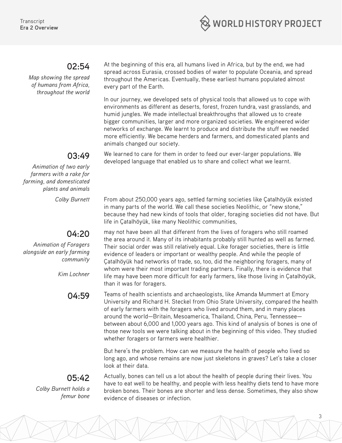

#### **02:54**

*Map showing the spread of humans from Africa, throughout the world* At the beginning of this era, all humans lived in Africa, but by the end, we had spread across Eurasia, crossed bodies of water to populate Oceania, and spread throughout the Americas. Eventually, these earliest humans populated almost every part of the Earth.

In our journey, we developed sets of physical tools that allowed us to cope with environments as different as deserts, forest, frozen tundra, vast grasslands, and humid jungles. We made intellectual breakthroughs that allowed us to create bigger communities, larger and more organized societies. We engineered wider networks of exchange. We learnt to produce and distribute the stuff we needed more efficiently. We became herders and farmers, and domesticated plants and animals changed our society.

We learned to care for them in order to feed our ever-larger populations. We developed language that enabled us to share and collect what we learnt.

#### **03:49**

*Animation of two early farmers with a rake for farming, and domesticated plants and animals*

#### **04:20**

*Animation of Foragers alongside an early farming community*

*Kim Lochner*

*Colby Burnett* From about 250,000 years ago, settled farming societies like Çatalhöyük existed in many parts of the world. We call these societies Neolithic, or "new stone," because they had new kinds of tools that older, foraging societies did not have. But life in Çatalhöyük, like many Neolithic communities,

> may not have been all that different from the lives of foragers who still roamed the area around it. Many of its inhabitants probably still hunted as well as farmed. Their social order was still relatively equal. Like forager societies, there is little evidence of leaders or important or wealthy people. And while the people of Çatalhöyük had networks of trade, so, too, did the neighboring foragers, many of whom were their most important trading partners. Finally, there is evidence that life may have been more difficult for early farmers, like those living in Çatalhöyük, than it was for foragers.

**04:59** Teams of health scientists and archaeologists, like Amanda Mummert at Emory University and Richard H. Steckel from Ohio State University, compared the health of early farmers with the foragers who lived around them, and in many places around the world—Britain, Mesoamerica, Thailand, China, Peru, Tennessee between about 6,000 and 1,000 years ago. This kind of analysis of bones is one of those new tools we were talking about in the beginning of this video. They studied whether foragers or farmers were healthier.

> But here's the problem. How can we measure the health of people who lived so long ago, and whose remains are now just skeletons in graves? Let's take a closer look at their data.

## **05:42**

*Colby Burnett holds a femur bone*

Actually, bones can tell us a lot about the health of people during their lives. You have to eat well to be healthy, and people with less healthy diets tend to have more broken bones. Their bones are shorter and less dense. Sometimes, they also show evidence of diseases or infection.

3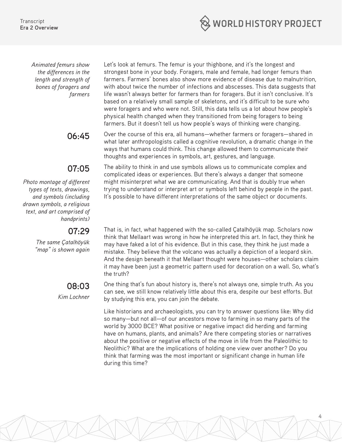**Transcript Era 2 Overview**



*Animated femurs show the differences in the length and strength of bones of foragers and farmers* 

#### **07:05**

*Photo montage of different types of texts, drawings, and symbols (including drawn symbols, a religious text, and art comprised of handprints)*

#### **07:29**

*The same Çatalhöyük "map" is shown again* 

#### **08:03**

*Kim Lochner*

Let's look at femurs. The femur is your thighbone, and it's the longest and strongest bone in your body. Foragers, male and female, had longer femurs than farmers. Farmers' bones also show more evidence of disease due to malnutrition, with about twice the number of infections and abscesses. This data suggests that life wasn't always better for farmers than for foragers. But it isn't conclusive. It's based on a relatively small sample of skeletons, and it's difficult to be sure who were foragers and who were not. Still, this data tells us a lot about how people's physical health changed when they transitioned from being foragers to being farmers. But it doesn't tell us how people's ways of thinking were changing.

**06:45** Over the course of this era, all humans—whether farmers or foragers—shared in what later anthropologists called a cognitive revolution, a dramatic change in the ways that humans could think. This change allowed them to communicate their thoughts and experiences in symbols, art, gestures, and language.

> The ability to think in and use symbols allows us to communicate complex and complicated ideas or experiences. But there's always a danger that someone might misinterpret what we are communicating. And that is doubly true when trying to understand or interpret art or symbols left behind by people in the past. It's possible to have different interpretations of the same object or documents.

That is, in fact, what happened with the so-called Çatalhöyük map. Scholars now think that Mellaart was wrong in how he interpreted this art. In fact, they think he may have faked a lot of his evidence. But in this case, they think he just made a mistake. They believe that the volcano was actually a depiction of a leopard skin. And the design beneath it that Mellaart thought were houses—other scholars claim it may have been just a geometric pattern used for decoration on a wall. So, what's the truth?

One thing that's fun about history is, there's not always one, simple truth. As you can see, we still know relatively little about this era, despite our best efforts. But by studying this era, you can join the debate.

Like historians and archaeologists, you can try to answer questions like: Why did so many—but not all—of our ancestors move to farming in so many parts of the world by 3000 BCE? What positive or negative impact did herding and farming have on humans, plants, and animals? Are there competing stories or narratives about the positive or negative effects of the move in life from the Paleolithic to Neolithic? What are the implications of holding one view over another? Do you think that farming was the most important or significant change in human life during this time?

4